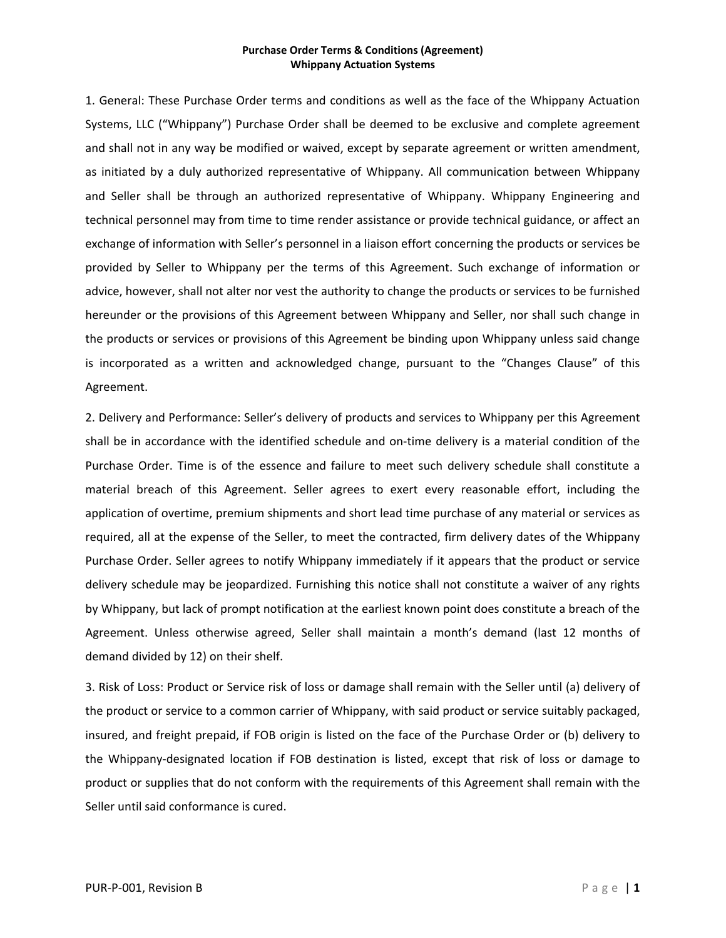1. General: These Purchase Order terms and conditions as well as the face of the Whippany Actuation Systems, LLC ("Whippany") Purchase Order shall be deemed to be exclusive and complete agreement and shall not in any way be modified or waived, except by separate agreement or written amendment, as initiated by a duly authorized representative of Whippany. All communication between Whippany and Seller shall be through an authorized representative of Whippany. Whippany Engineering and technical personnel may from time to time render assistance or provide technical guidance, or affect an exchange of information with Seller's personnel in a liaison effort concerning the products or services be provided by Seller to Whippany per the terms of this Agreement. Such exchange of information or advice, however, shall not alter nor vest the authority to change the products or services to be furnished hereunder or the provisions of this Agreement between Whippany and Seller, nor shall such change in the products or services or provisions of this Agreement be binding upon Whippany unless said change is incorporated as a written and acknowledged change, pursuant to the "Changes Clause" of this Agreement.

2. Delivery and Performance: Seller's delivery of products and services to Whippany per this Agreement shall be in accordance with the identified schedule and on-time delivery is a material condition of the Purchase Order. Time is of the essence and failure to meet such delivery schedule shall constitute a material breach of this Agreement. Seller agrees to exert every reasonable effort, including the application of overtime, premium shipments and short lead time purchase of any material or services as required, all at the expense of the Seller, to meet the contracted, firm delivery dates of the Whippany Purchase Order. Seller agrees to notify Whippany immediately if it appears that the product or service delivery schedule may be jeopardized. Furnishing this notice shall not constitute a waiver of any rights by Whippany, but lack of prompt notification at the earliest known point does constitute a breach of the Agreement. Unless otherwise agreed, Seller shall maintain a month's demand (last 12 months of demand divided by 12) on their shelf.

3. Risk of Loss: Product or Service risk of loss or damage shall remain with the Seller until (a) delivery of the product or service to a common carrier of Whippany, with said product or service suitably packaged, insured, and freight prepaid, if FOB origin is listed on the face of the Purchase Order or (b) delivery to the Whippany-designated location if FOB destination is listed, except that risk of loss or damage to product or supplies that do not conform with the requirements of this Agreement shall remain with the Seller until said conformance is cured.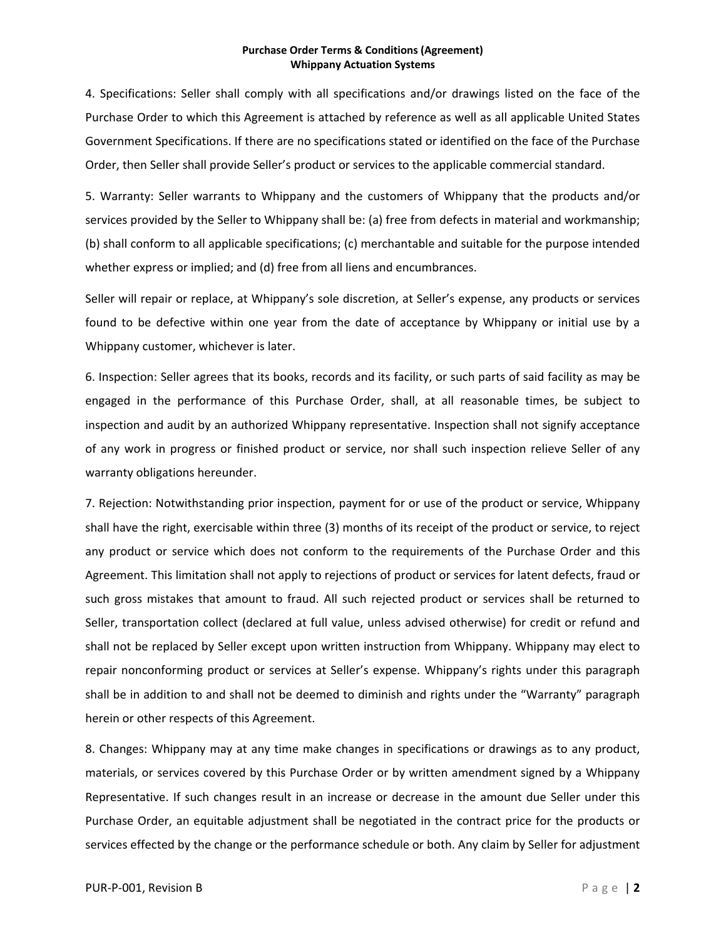4. Specifications: Seller shall comply with all specifications and/or drawings listed on the face of the Purchase Order to which this Agreement is attached by reference as well as all applicable United States Government Specifications. If there are no specifications stated or identified on the face of the Purchase Order, then Seller shall provide Seller's product or services to the applicable commercial standard.

5. Warranty: Seller warrants to Whippany and the customers of Whippany that the products and/or services provided by the Seller to Whippany shall be: (a) free from defects in material and workmanship; (b) shall conform to all applicable specifications; (c) merchantable and suitable for the purpose intended whether express or implied; and (d) free from all liens and encumbrances.

Seller will repair or replace, at Whippany's sole discretion, at Seller's expense, any products or services found to be defective within one year from the date of acceptance by Whippany or initial use by a Whippany customer, whichever is later.

6. Inspection: Seller agrees that its books, records and its facility, or such parts of said facility as may be engaged in the performance of this Purchase Order, shall, at all reasonable times, be subject to inspection and audit by an authorized Whippany representative. Inspection shall not signify acceptance of any work in progress or finished product or service, nor shall such inspection relieve Seller of any warranty obligations hereunder.

7. Rejection: Notwithstanding prior inspection, payment for or use of the product or service, Whippany shall have the right, exercisable within three (3) months of its receipt of the product or service, to reject any product or service which does not conform to the requirements of the Purchase Order and this Agreement. This limitation shall not apply to rejections of product or services for latent defects, fraud or such gross mistakes that amount to fraud. All such rejected product or services shall be returned to Seller, transportation collect (declared at full value, unless advised otherwise) for credit or refund and shall not be replaced by Seller except upon written instruction from Whippany. Whippany may elect to repair nonconforming product or services at Seller's expense. Whippany's rights under this paragraph shall be in addition to and shall not be deemed to diminish and rights under the "Warranty" paragraph herein or other respects of this Agreement.

8. Changes: Whippany may at any time make changes in specifications or drawings as to any product, materials, or services covered by this Purchase Order or by written amendment signed by a Whippany Representative. If such changes result in an increase or decrease in the amount due Seller under this Purchase Order, an equitable adjustment shall be negotiated in the contract price for the products or services effected by the change or the performance schedule or both. Any claim by Seller for adjustment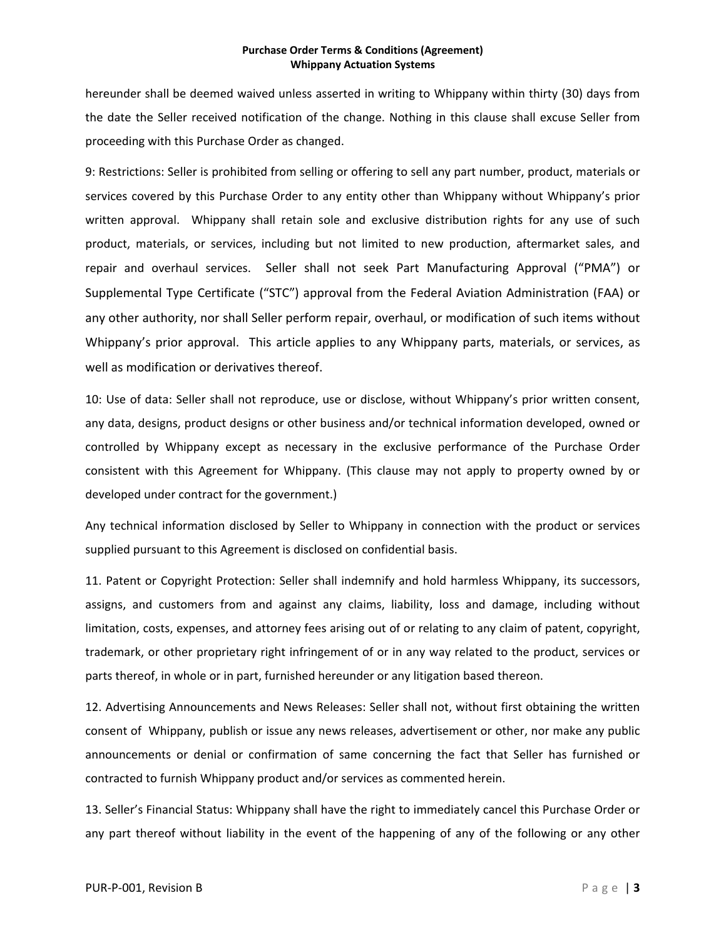hereunder shall be deemed waived unless asserted in writing to Whippany within thirty (30) days from the date the Seller received notification of the change. Nothing in this clause shall excuse Seller from proceeding with this Purchase Order as changed.

9: Restrictions: Seller is prohibited from selling or offering to sell any part number, product, materials or services covered by this Purchase Order to any entity other than Whippany without Whippany's prior written approval. Whippany shall retain sole and exclusive distribution rights for any use of such product, materials, or services, including but not limited to new production, aftermarket sales, and repair and overhaul services. Seller shall not seek Part Manufacturing Approval ("PMA") or Supplemental Type Certificate ("STC") approval from the Federal Aviation Administration (FAA) or any other authority, nor shall Seller perform repair, overhaul, or modification of such items without Whippany's prior approval. This article applies to any Whippany parts, materials, or services, as well as modification or derivatives thereof.

10: Use of data: Seller shall not reproduce, use or disclose, without Whippany's prior written consent, any data, designs, product designs or other business and/or technical information developed, owned or controlled by Whippany except as necessary in the exclusive performance of the Purchase Order consistent with this Agreement for Whippany. (This clause may not apply to property owned by or developed under contract for the government.)

Any technical information disclosed by Seller to Whippany in connection with the product or services supplied pursuant to this Agreement is disclosed on confidential basis.

11. Patent or Copyright Protection: Seller shall indemnify and hold harmless Whippany, its successors, assigns, and customers from and against any claims, liability, loss and damage, including without limitation, costs, expenses, and attorney fees arising out of or relating to any claim of patent, copyright, trademark, or other proprietary right infringement of or in any way related to the product, services or parts thereof, in whole or in part, furnished hereunder or any litigation based thereon.

12. Advertising Announcements and News Releases: Seller shall not, without first obtaining the written consent of Whippany, publish or issue any news releases, advertisement or other, nor make any public announcements or denial or confirmation of same concerning the fact that Seller has furnished or contracted to furnish Whippany product and/or services as commented herein.

13. Seller's Financial Status: Whippany shall have the right to immediately cancel this Purchase Order or any part thereof without liability in the event of the happening of any of the following or any other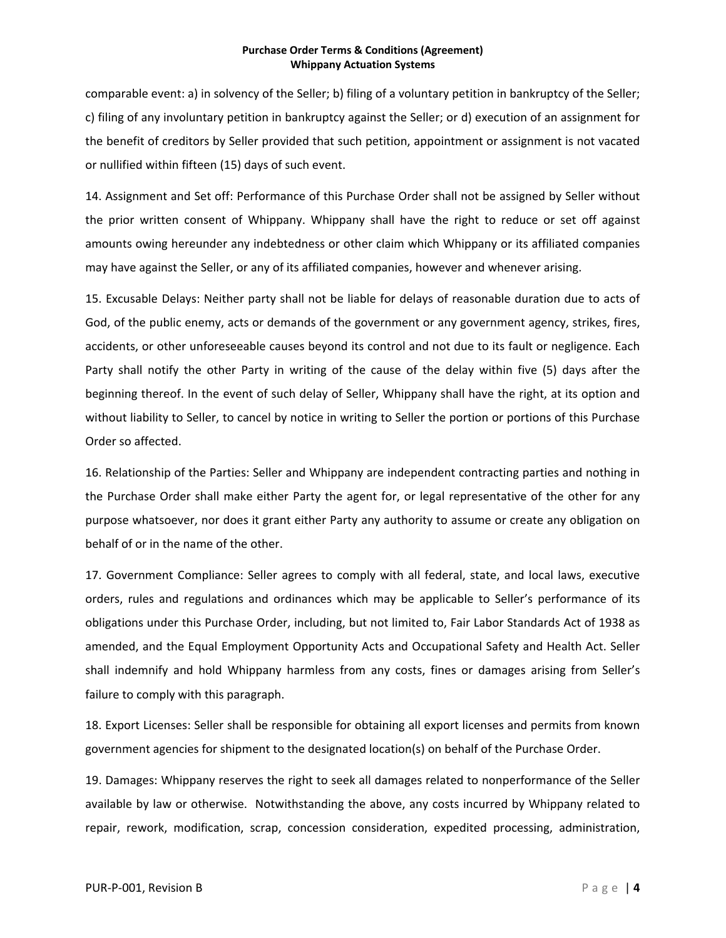comparable event: a) in solvency of the Seller; b) filing of a voluntary petition in bankruptcy of the Seller; c) filing of any involuntary petition in bankruptcy against the Seller; or d) execution of an assignment for the benefit of creditors by Seller provided that such petition, appointment or assignment is not vacated or nullified within fifteen (15) days of such event.

14. Assignment and Set off: Performance of this Purchase Order shall not be assigned by Seller without the prior written consent of Whippany. Whippany shall have the right to reduce or set off against amounts owing hereunder any indebtedness or other claim which Whippany or its affiliated companies may have against the Seller, or any of its affiliated companies, however and whenever arising.

15. Excusable Delays: Neither party shall not be liable for delays of reasonable duration due to acts of God, of the public enemy, acts or demands of the government or any government agency, strikes, fires, accidents, or other unforeseeable causes beyond its control and not due to its fault or negligence. Each Party shall notify the other Party in writing of the cause of the delay within five (5) days after the beginning thereof. In the event of such delay of Seller, Whippany shall have the right, at its option and without liability to Seller, to cancel by notice in writing to Seller the portion or portions of this Purchase Order so affected.

16. Relationship of the Parties: Seller and Whippany are independent contracting parties and nothing in the Purchase Order shall make either Party the agent for, or legal representative of the other for any purpose whatsoever, nor does it grant either Party any authority to assume or create any obligation on behalf of or in the name of the other.

17. Government Compliance: Seller agrees to comply with all federal, state, and local laws, executive orders, rules and regulations and ordinances which may be applicable to Seller's performance of its obligations under this Purchase Order, including, but not limited to, Fair Labor Standards Act of 1938 as amended, and the Equal Employment Opportunity Acts and Occupational Safety and Health Act. Seller shall indemnify and hold Whippany harmless from any costs, fines or damages arising from Seller's failure to comply with this paragraph.

18. Export Licenses: Seller shall be responsible for obtaining all export licenses and permits from known government agencies for shipment to the designated location(s) on behalf of the Purchase Order.

19. Damages: Whippany reserves the right to seek all damages related to nonperformance of the Seller available by law or otherwise. Notwithstanding the above, any costs incurred by Whippany related to repair, rework, modification, scrap, concession consideration, expedited processing, administration,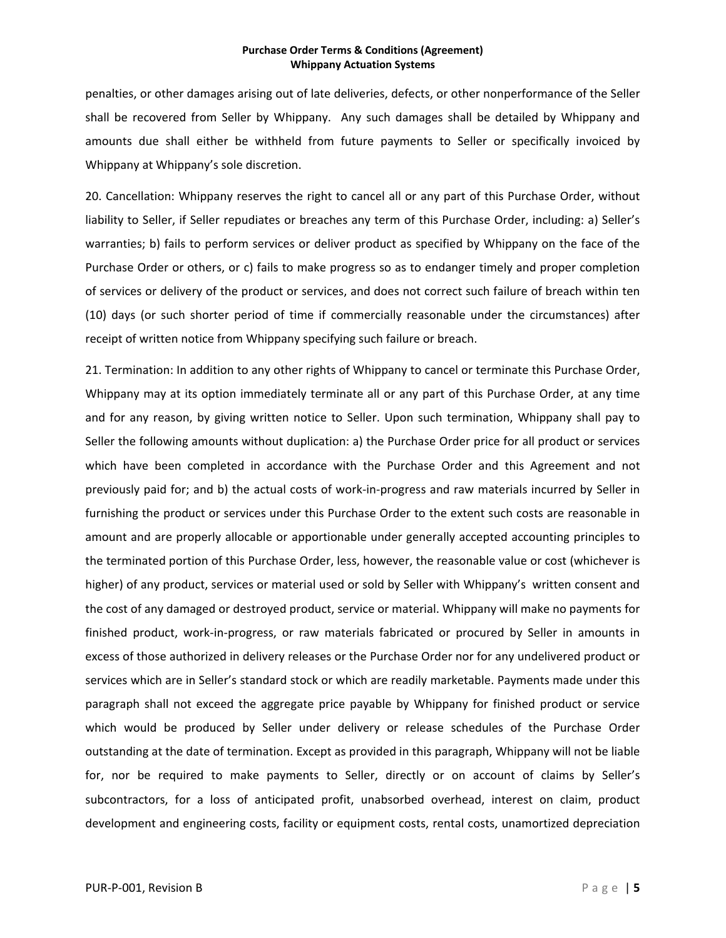penalties, or other damages arising out of late deliveries, defects, or other nonperformance of the Seller shall be recovered from Seller by Whippany. Any such damages shall be detailed by Whippany and amounts due shall either be withheld from future payments to Seller or specifically invoiced by Whippany at Whippany's sole discretion.

20. Cancellation: Whippany reserves the right to cancel all or any part of this Purchase Order, without liability to Seller, if Seller repudiates or breaches any term of this Purchase Order, including: a) Seller's warranties; b) fails to perform services or deliver product as specified by Whippany on the face of the Purchase Order or others, or c) fails to make progress so as to endanger timely and proper completion of services or delivery of the product or services, and does not correct such failure of breach within ten (10) days (or such shorter period of time if commercially reasonable under the circumstances) after receipt of written notice from Whippany specifying such failure or breach.

21. Termination: In addition to any other rights of Whippany to cancel or terminate this Purchase Order, Whippany may at its option immediately terminate all or any part of this Purchase Order, at any time and for any reason, by giving written notice to Seller. Upon such termination, Whippany shall pay to Seller the following amounts without duplication: a) the Purchase Order price for all product or services which have been completed in accordance with the Purchase Order and this Agreement and not previously paid for; and b) the actual costs of work‐in‐progress and raw materials incurred by Seller in furnishing the product or services under this Purchase Order to the extent such costs are reasonable in amount and are properly allocable or apportionable under generally accepted accounting principles to the terminated portion of this Purchase Order, less, however, the reasonable value or cost (whichever is higher) of any product, services or material used or sold by Seller with Whippany's written consent and the cost of any damaged or destroyed product, service or material. Whippany will make no payments for finished product, work-in-progress, or raw materials fabricated or procured by Seller in amounts in excess of those authorized in delivery releases or the Purchase Order nor for any undelivered product or services which are in Seller's standard stock or which are readily marketable. Payments made under this paragraph shall not exceed the aggregate price payable by Whippany for finished product or service which would be produced by Seller under delivery or release schedules of the Purchase Order outstanding at the date of termination. Except as provided in this paragraph, Whippany will not be liable for, nor be required to make payments to Seller, directly or on account of claims by Seller's subcontractors, for a loss of anticipated profit, unabsorbed overhead, interest on claim, product development and engineering costs, facility or equipment costs, rental costs, unamortized depreciation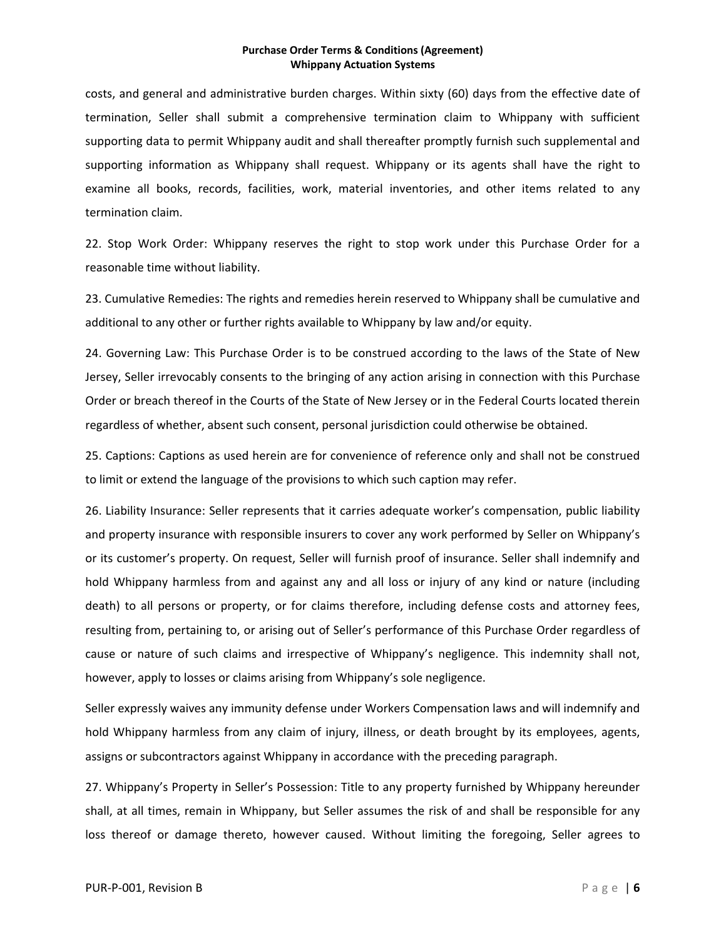costs, and general and administrative burden charges. Within sixty (60) days from the effective date of termination, Seller shall submit a comprehensive termination claim to Whippany with sufficient supporting data to permit Whippany audit and shall thereafter promptly furnish such supplemental and supporting information as Whippany shall request. Whippany or its agents shall have the right to examine all books, records, facilities, work, material inventories, and other items related to any termination claim.

22. Stop Work Order: Whippany reserves the right to stop work under this Purchase Order for a reasonable time without liability.

23. Cumulative Remedies: The rights and remedies herein reserved to Whippany shall be cumulative and additional to any other or further rights available to Whippany by law and/or equity.

24. Governing Law: This Purchase Order is to be construed according to the laws of the State of New Jersey, Seller irrevocably consents to the bringing of any action arising in connection with this Purchase Order or breach thereof in the Courts of the State of New Jersey or in the Federal Courts located therein regardless of whether, absent such consent, personal jurisdiction could otherwise be obtained.

25. Captions: Captions as used herein are for convenience of reference only and shall not be construed to limit or extend the language of the provisions to which such caption may refer.

26. Liability Insurance: Seller represents that it carries adequate worker's compensation, public liability and property insurance with responsible insurers to cover any work performed by Seller on Whippany's or its customer's property. On request, Seller will furnish proof of insurance. Seller shall indemnify and hold Whippany harmless from and against any and all loss or injury of any kind or nature (including death) to all persons or property, or for claims therefore, including defense costs and attorney fees, resulting from, pertaining to, or arising out of Seller's performance of this Purchase Order regardless of cause or nature of such claims and irrespective of Whippany's negligence. This indemnity shall not, however, apply to losses or claims arising from Whippany's sole negligence.

Seller expressly waives any immunity defense under Workers Compensation laws and will indemnify and hold Whippany harmless from any claim of injury, illness, or death brought by its employees, agents, assigns or subcontractors against Whippany in accordance with the preceding paragraph.

27. Whippany's Property in Seller's Possession: Title to any property furnished by Whippany hereunder shall, at all times, remain in Whippany, but Seller assumes the risk of and shall be responsible for any loss thereof or damage thereto, however caused. Without limiting the foregoing, Seller agrees to